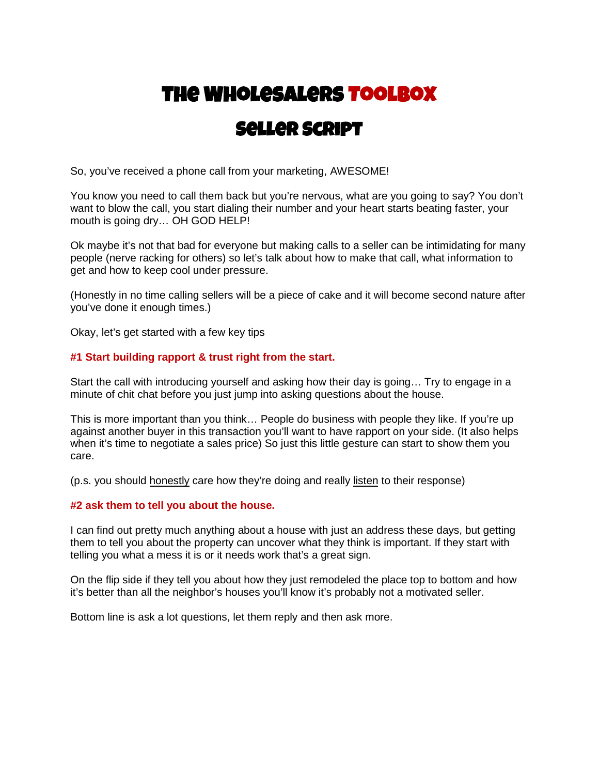# **The Wholesalers Toolbox**

### **Seller Script**

So, you've received a phone call from your marketing, AWESOME!

You know you need to call them back but you're nervous, what are you going to say? You don't want to blow the call, you start dialing their number and your heart starts beating faster, your mouth is going dry… OH GOD HELP!

Ok maybe it's not that bad for everyone but making calls to a seller can be intimidating for many people (nerve racking for others) so let's talk about how to make that call, what information to get and how to keep cool under pressure.

(Honestly in no time calling sellers will be a piece of cake and it will become second nature after you've done it enough times.)

Okay, let's get started with a few key tips

#### **#1 Start building rapport & trust right from the start.**

Start the call with introducing yourself and asking how their day is going… Try to engage in a minute of chit chat before you just jump into asking questions about the house.

This is more important than you think… People do business with people they like. If you're up against another buyer in this transaction you'll want to have rapport on your side. (It also helps when it's time to negotiate a sales price) So just this little gesture can start to show them you care.

(p.s. you should honestly care how they're doing and really listen to their response)

#### **#2 ask them to tell you about the house.**

I can find out pretty much anything about a house with just an address these days, but getting them to tell you about the property can uncover what they think is important. If they start with telling you what a mess it is or it needs work that's a great sign.

On the flip side if they tell you about how they just remodeled the place top to bottom and how it's better than all the neighbor's houses you'll know it's probably not a motivated seller.

Bottom line is ask a lot questions, let them reply and then ask more.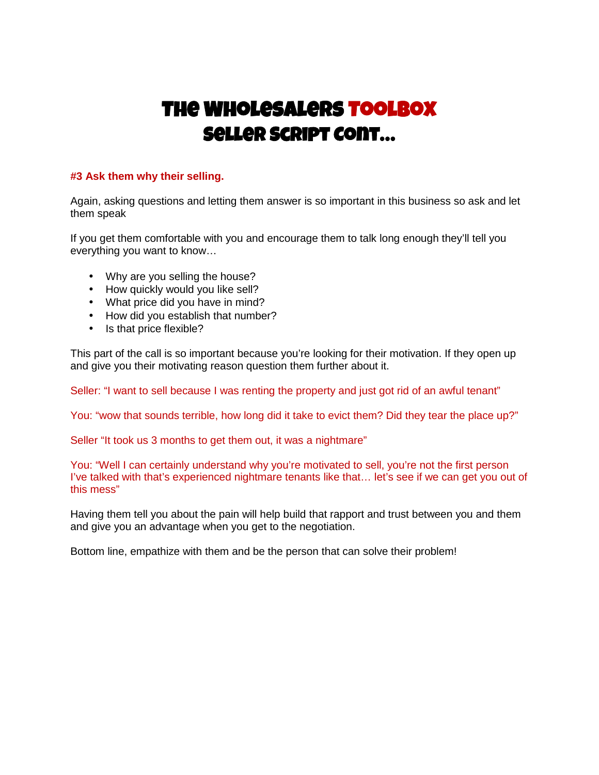## **The Wholesalers Toolbox Seller Script Cont…**

#### **#3 Ask them why their selling.**

Again, asking questions and letting them answer is so important in this business so ask and let them speak

If you get them comfortable with you and encourage them to talk long enough they'll tell you everything you want to know…

- Why are you selling the house?
- How quickly would you like sell?
- What price did you have in mind?
- How did you establish that number?
- Is that price flexible?

This part of the call is so important because you're looking for their motivation. If they open up and give you their motivating reason question them further about it.

Seller: "I want to sell because I was renting the property and just got rid of an awful tenant"

You: "wow that sounds terrible, how long did it take to evict them? Did they tear the place up?"

Seller "It took us 3 months to get them out, it was a nightmare"

You: "Well I can certainly understand why you're motivated to sell, you're not the first person I've talked with that's experienced nightmare tenants like that… let's see if we can get you out of this mess"

Having them tell you about the pain will help build that rapport and trust between you and them and give you an advantage when you get to the negotiation.

Bottom line, empathize with them and be the person that can solve their problem!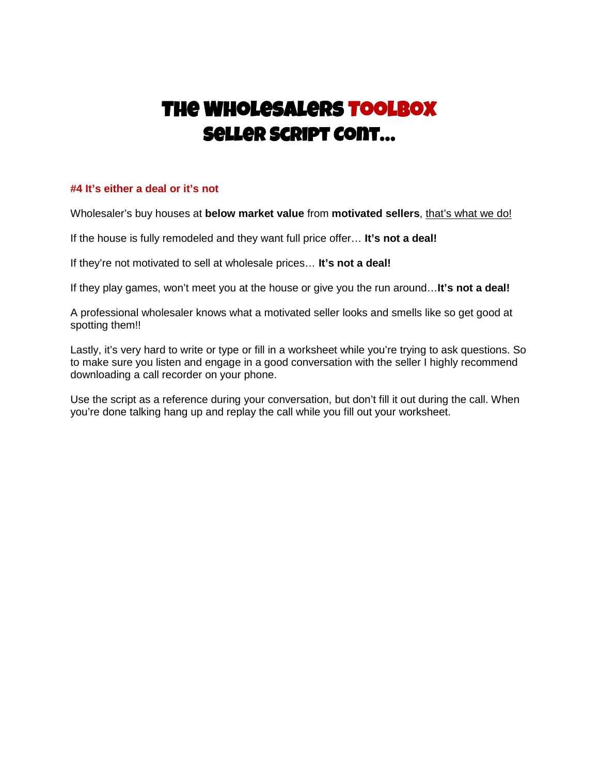## **The Wholesalers Toolbox Seller Script Cont…**

#### **#4 It's either a deal or it's not**

Wholesaler's buy houses at **below market value** from **motivated sellers**, that's what we do!

If the house is fully remodeled and they want full price offer… **It's not a deal!**

If they're not motivated to sell at wholesale prices… **It's not a deal!**

If they play games, won't meet you at the house or give you the run around…**It's not a deal!**

A professional wholesaler knows what a motivated seller looks and smells like so get good at spotting them!!

Lastly, it's very hard to write or type or fill in a worksheet while you're trying to ask questions. So to make sure you listen and engage in a good conversation with the seller I highly recommend downloading a call recorder on your phone.

Use the script as a reference during your conversation, but don't fill it out during the call. When you're done talking hang up and replay the call while you fill out your worksheet.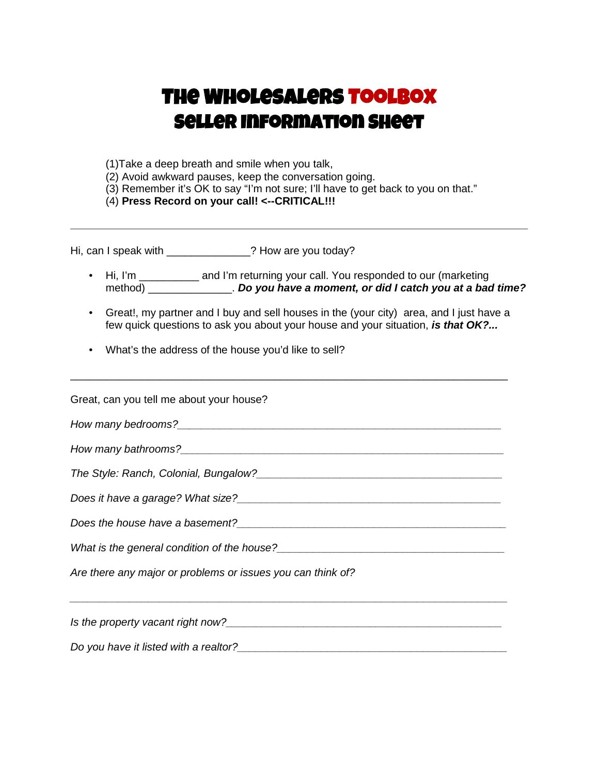## **The Wholesalers Toolbox Seller Information Sheet**

(1)Take a deep breath and smile when you talk,

(2) Avoid awkward pauses, keep the conversation going.

(3) Remember it's OK to say "I'm not sure; I'll have to get back to you on that."

(4) **Press Record on your call! <--CRITICAL!!!**

Hi, can I speak with \_\_\_\_\_\_\_\_\_\_\_\_\_\_? How are you today?

• Hi, I'm \_\_\_\_\_\_\_\_\_\_\_ and I'm returning your call. You responded to our (marketing method) \_\_\_\_\_\_\_\_\_\_\_\_\_\_. *Do you have a moment, or did I catch you at a bad time?*

\_\_\_\_\_\_\_\_\_\_\_\_\_\_\_\_\_\_\_\_\_\_\_\_\_\_\_\_\_\_\_\_\_\_\_\_\_\_\_\_\_\_\_\_\_\_\_\_\_\_\_\_\_\_\_\_\_\_\_\_\_\_\_\_\_\_\_\_\_\_\_\_\_

- Great!, my partner and I buy and sell houses in the (your city) area, and I just have a few quick questions to ask you about your house and your situation, *is that OK?...*
- What's the address of the house you'd like to sell?

| Great, can you tell me about your house?                                                                                                                                            |  |
|-------------------------------------------------------------------------------------------------------------------------------------------------------------------------------------|--|
|                                                                                                                                                                                     |  |
|                                                                                                                                                                                     |  |
|                                                                                                                                                                                     |  |
|                                                                                                                                                                                     |  |
|                                                                                                                                                                                     |  |
|                                                                                                                                                                                     |  |
| Are there any major or problems or issues you can think of?<br><u> 1989 - Andrea San Andrea Andrea Andrea Andrea Andrea Andrea Andrea Andrea Andrea Andrea Andrea Andrea Andrea</u> |  |
|                                                                                                                                                                                     |  |
| Do you have it listed with a realtor? Demonstration of the state of the state of the state of the state of the                                                                      |  |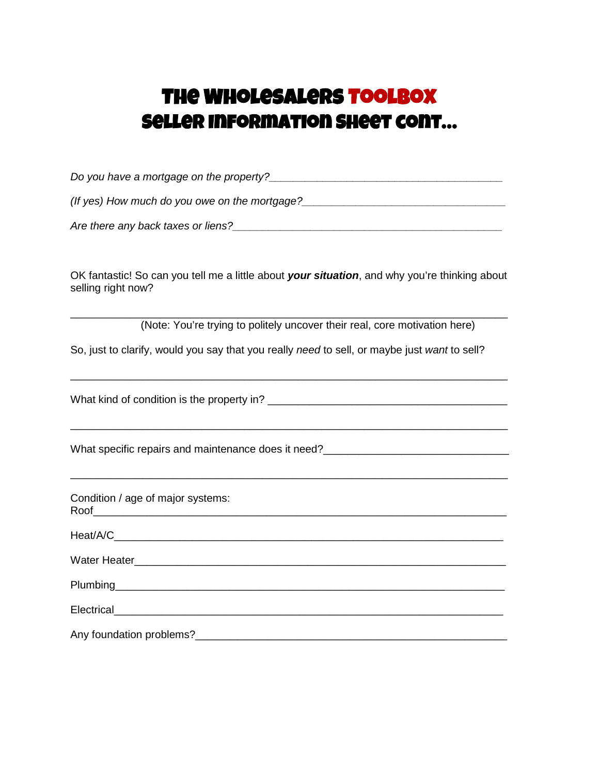### **The Wholesalers Toolbox Seller Information Sheet cont…**

*Do you have a mortgage on the property?\_\_\_\_\_\_\_\_\_\_\_\_\_\_\_\_\_\_\_\_\_\_\_\_\_\_\_\_\_\_\_\_\_\_\_\_\_\_\_*

*(If yes) How much do you owe on the mortgage?* 

*Are there any back taxes or liens?\_\_\_\_\_\_\_\_\_\_\_\_\_\_\_\_\_\_\_\_\_\_\_\_\_\_\_\_\_\_\_\_\_\_\_\_\_\_\_\_\_\_\_\_\_*

OK fantastic! So can you tell me a little about *your situation*, and why you're thinking about selling right now?

\_\_\_\_\_\_\_\_\_\_\_\_\_\_\_\_\_\_\_\_\_\_\_\_\_\_\_\_\_\_\_\_\_\_\_\_\_\_\_\_\_\_\_\_\_\_\_\_\_\_\_\_\_\_\_\_\_\_\_\_\_\_\_\_\_\_\_\_\_\_\_\_\_ (Note: You're trying to politely uncover their real, core motivation here)

\_\_\_\_\_\_\_\_\_\_\_\_\_\_\_\_\_\_\_\_\_\_\_\_\_\_\_\_\_\_\_\_\_\_\_\_\_\_\_\_\_\_\_\_\_\_\_\_\_\_\_\_\_\_\_\_\_\_\_\_\_\_\_\_\_\_\_\_\_\_\_\_\_

\_\_\_\_\_\_\_\_\_\_\_\_\_\_\_\_\_\_\_\_\_\_\_\_\_\_\_\_\_\_\_\_\_\_\_\_\_\_\_\_\_\_\_\_\_\_\_\_\_\_\_\_\_\_\_\_\_\_\_\_\_\_\_\_\_\_\_\_\_\_\_\_\_

\_\_\_\_\_\_\_\_\_\_\_\_\_\_\_\_\_\_\_\_\_\_\_\_\_\_\_\_\_\_\_\_\_\_\_\_\_\_\_\_\_\_\_\_\_\_\_\_\_\_\_\_\_\_\_\_\_\_\_\_\_\_\_\_\_\_\_\_\_\_\_\_\_

So, just to clarify, would you say that you really *need* to sell, or maybe just *want* to sell?

What kind of condition is the property in?

What specific repairs and maintenance does it need?

Condition / age of major systems: Roof

Heat/A/C\_\_\_\_\_\_\_\_\_\_\_\_\_\_\_\_\_\_\_\_\_\_\_\_\_\_\_\_\_\_\_\_\_\_\_\_\_\_\_\_\_\_\_\_\_\_\_\_\_\_\_\_\_\_\_\_\_\_\_\_\_\_\_\_\_ Water Heater **Example 20** Figure 1 and 20 Figure 1 and 20 Figure 1 and 20 Figure 2 and 20 Figure 2 and 20 Figure

Plumbing the contract of the contract of the contract of the contract of the contract of the contract of the contract of the contract of the contract of the contract of the contract of the contract of the contract of the c

Electrical Any foundation problems?<br>
and the same state of the state of the state of the state of the state of the state of the state of the state o